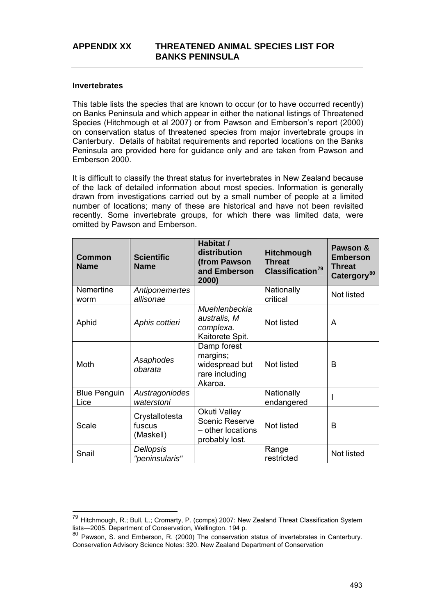#### <span id="page-0-0"></span>**Invertebrates**

This table lists the species that are known to occur (or to have occurred recently) on Banks Peninsula and which appear in either the national listings of Threatened Species (Hitchmough et al 2007) or from Pawson and Emberson's report (2000) on conservation status of threatened species from major invertebrate groups in Canterbury. Details of habitat requirements and reported locations on the Banks Peninsula are provided here for guidance only and are taken from Pawson and Emberson 2000.

It is difficult to classify the threat status for invertebrates in New Zealand because of the lack of detailed information about most species. Information is generally drawn from investigations carried out by a small number of people at a limited number of locations; many of these are historical and have not been revisited recently. Some invertebrate groups, for which there was limited data, were omitted by Pawson and Emberson.

| Common<br><b>Name</b>       | <b>Scientific</b><br><b>Name</b>      | Habitat /<br>distribution<br>(from Pawson<br>and Emberson<br>2000)           | <b>Hitchmough</b><br><b>Threat</b><br>Classification <sup>79</sup> | Pawson &<br><b>Emberson</b><br><b>Threat</b><br>Catergory <sup>80</sup> |
|-----------------------------|---------------------------------------|------------------------------------------------------------------------------|--------------------------------------------------------------------|-------------------------------------------------------------------------|
| Nemertine<br>worm           | Antiponemertes<br>allisonae           |                                                                              | Nationally<br>critical                                             | Not listed                                                              |
| Aphid                       | Aphis cottieri                        | Muehlenbeckia<br>australis, M<br>complexa.<br>Kaitorete Spit.                | Not listed                                                         | A                                                                       |
| Moth                        | Asaphodes<br>obarata                  | Damp forest<br>margins;<br>widespread but<br>rare including<br>Akaroa.       | Not listed                                                         | B                                                                       |
| <b>Blue Penguin</b><br>Lice | Austragoniodes<br>waterstoni          |                                                                              | Nationally<br>endangered                                           |                                                                         |
| Scale                       | Crystallotesta<br>fuscus<br>(Maskell) | Okuti Valley<br><b>Scenic Reserve</b><br>- other locations<br>probably lost. | Not listed                                                         | B                                                                       |
| Snail                       | Dellopsis<br>"peninsularis"           |                                                                              | Range<br>restricted                                                | Not listed                                                              |

<sup>79</sup> Hitchmough, R.; Bull, L.; Cromarty, P. (comps) 2007: New Zealand Threat Classification System lists—2005. Department of Conservation, Wellington. 194 p.

<sup>80</sup> Pawson, S. and Emberson, R. (2000) The conservation status of invertebrates in Canterbury. Conservation Advisory Science Notes: 320. New Zealand Department of Conservation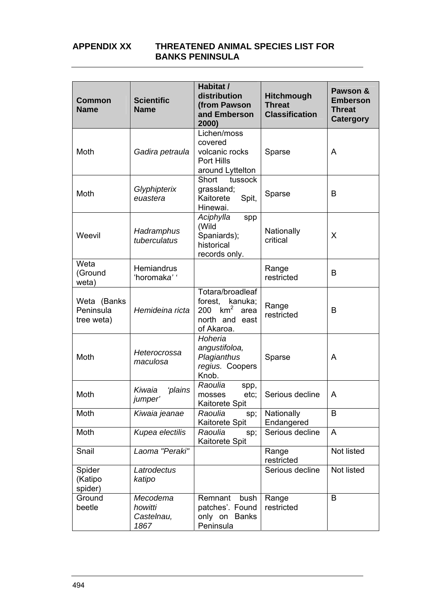| <b>Common</b><br><b>Name</b>           | <b>Scientific</b><br><b>Name</b>          | Habitat /<br>distribution<br>(from Pawson<br>and Emberson<br>2000)                                       | Hitchmough<br><b>Threat</b><br><b>Classification</b> | Pawson &<br><b>Emberson</b><br><b>Threat</b><br><b>Catergory</b> |
|----------------------------------------|-------------------------------------------|----------------------------------------------------------------------------------------------------------|------------------------------------------------------|------------------------------------------------------------------|
| Moth                                   | Gadira petraula                           | Lichen/moss<br>covered<br>volcanic rocks<br>Port Hills<br>around Lyttelton                               | Sparse                                               | A                                                                |
| Moth                                   | Glyphipterix<br>euastera                  | Short<br>tussock<br>grassland;<br>Kaitorete<br>Spit,<br>Hinewai.                                         | Sparse                                               | B                                                                |
| Weevil                                 | Hadramphus<br>tuberculatus                | Aciphylla<br>spp<br>(Wild<br>Spaniards);<br>historical<br>records only.                                  | Nationally<br>critical                               | X                                                                |
| Weta<br>(Ground<br>weta)               | <b>Hemiandrus</b><br>'horomaka' '         |                                                                                                          | Range<br>restricted                                  | B                                                                |
| Weta (Banks<br>Peninsula<br>tree weta) | Hemideina ricta                           | Totara/broadleaf<br>forest, kanuka;<br>km <sup>2</sup><br>200<br>area<br>north and<br>east<br>of Akaroa. | Range<br>restricted                                  | B                                                                |
| Moth                                   | Heterocrossa<br>maculosa                  | Hoheria<br>angustifoloa,<br>Plagianthus<br>regius. Coopers<br>Knob.                                      | Sparse                                               | A                                                                |
| Moth                                   | Kiwaia<br>'plains<br>jumper'              | Raoulia<br>spp,<br>etc;<br>mosses<br><b>Kaitorete Spit</b>                                               | Serious decline                                      | A                                                                |
| Moth                                   | Kiwaia jeanae                             | Raoulia<br>sp;<br>Kaitorete Spit                                                                         | Nationally<br>Endangered                             | B                                                                |
| Moth                                   | Kupea electilis                           | Raoulia<br>sp;<br>Kaitorete Spit                                                                         | Serious decline                                      | A                                                                |
| Snail                                  | Laoma "Peraki"                            |                                                                                                          | Range<br>restricted                                  | Not listed                                                       |
| Spider<br>(Katipo<br>spider)           | Latrodectus<br>katipo                     |                                                                                                          | Serious decline                                      | Not listed                                                       |
| Ground<br>beetle                       | Mecodema<br>howitti<br>Castelnau,<br>1867 | Remnant<br>bush<br>patches'. Found<br>only on Banks<br>Peninsula                                         | Range<br>restricted                                  | B                                                                |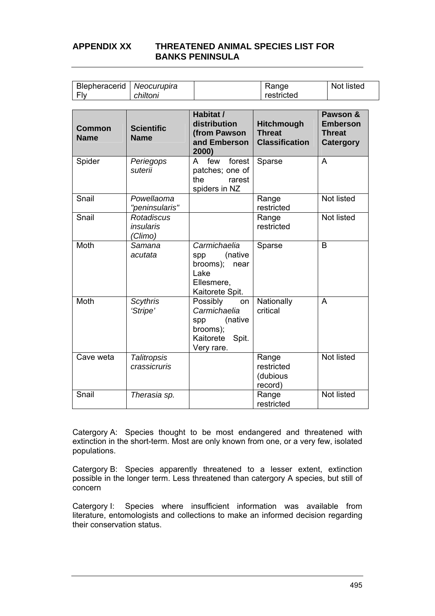| <b>Blepheracerid   Neocurupira</b> |          | Range      | Not listed |
|------------------------------------|----------|------------|------------|
| l Flv                              | chiltoni | restricted |            |

| <b>Common</b><br><b>Name</b> | <b>Scientific</b><br><b>Name</b>                 | Habitat /<br>distribution<br>(from Pawson<br>and Emberson<br>2000)                               | Hitchmough<br><b>Threat</b><br><b>Classification</b> | Pawson &<br><b>Emberson</b><br><b>Threat</b><br><b>Catergory</b> |
|------------------------------|--------------------------------------------------|--------------------------------------------------------------------------------------------------|------------------------------------------------------|------------------------------------------------------------------|
| Spider                       | Periegops<br>suterii                             | forest<br>A<br>few<br>patches; one of<br>the<br>rarest<br>spiders in NZ                          | Sparse                                               | A                                                                |
| Snail                        | Powellaoma<br>"peninsularis"                     |                                                                                                  | Range<br>restricted                                  | Not listed                                                       |
| Snail                        | <b>Rotadiscus</b><br><i>insularis</i><br>(Climo) |                                                                                                  | Range<br>restricted                                  | Not listed                                                       |
| Moth                         | Samana<br>acutata                                | Carmichaelia<br>(native<br>spp<br>brooms);<br>near<br>Lake<br>Ellesmere,<br>Kaitorete Spit.      | Sparse                                               | B                                                                |
| Moth                         | <b>Scythris</b><br>'Stripe'                      | Possibly<br>on<br>Carmichaelia<br>(native<br>spp<br>brooms);<br>Kaitorete<br>Spit.<br>Very rare. | Nationally<br>critical                               | A                                                                |
| Cave weta                    | <b>Talitropsis</b><br>crassicruris               |                                                                                                  | Range<br>restricted<br>(dubious<br>record)           | Not listed                                                       |
| Snail                        | Therasia sp.                                     |                                                                                                  | Range<br>restricted                                  | Not listed                                                       |

Catergory A: Species thought to be most endangered and threatened with extinction in the short-term. Most are only known from one, or a very few, isolated populations.

Catergory B: Species apparently threatened to a lesser extent, extinction possible in the longer term. Less threatened than catergory A species, but still of concern

Catergory I: Species where insufficient information was available from literature, entomologists and collections to make an informed decision regarding their conservation status.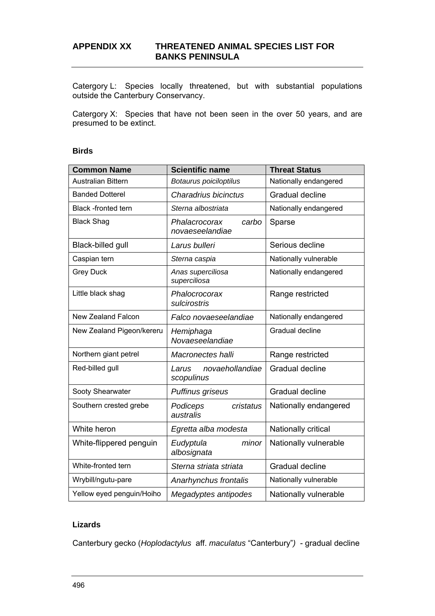Catergory L: Species locally threatened, but with substantial populations outside the Canterbury Conservancy.

Catergory X: Species that have not been seen in the over 50 years, and are presumed to be extinct.

#### **Birds**

| <b>Common Name</b>         | <b>Scientific name</b>                    | <b>Threat Status</b>  |  |
|----------------------------|-------------------------------------------|-----------------------|--|
| Australian Bittern         | Botaurus poiciloptilus                    | Nationally endangered |  |
| <b>Banded Dotterel</b>     | Charadrius bicinctus                      | Gradual decline       |  |
| <b>Black</b> -fronted tern | Sterna albostriata                        | Nationally endangered |  |
| <b>Black Shag</b>          | Phalacrocorax<br>carbo<br>novaeseelandiae | Sparse                |  |
| Black-billed gull          | Larus bulleri                             | Serious decline       |  |
| Caspian tern               | Sterna caspia                             | Nationally vulnerable |  |
| <b>Grey Duck</b>           | Anas superciliosa<br>superciliosa         | Nationally endangered |  |
| Little black shag          | Phalocrocorax<br>sulcirostris             | Range restricted      |  |
| <b>New Zealand Falcon</b>  | Falco novaeseelandiae                     | Nationally endangered |  |
| New Zealand Pigeon/kereru  | Hemiphaga<br>Novaeseelandiae              | Gradual decline       |  |
| Northern giant petrel      | Macronectes halli                         | Range restricted      |  |
| Red-billed gull            | novaehollandiae<br>Larus<br>scopulinus    | Gradual decline       |  |
| Sooty Shearwater           | Puffinus griseus                          | Gradual decline       |  |
| Southern crested grebe     | Podiceps<br>cristatus<br>australis        | Nationally endangered |  |
| White heron                | Egretta alba modesta                      | Nationally critical   |  |
| White-flippered penguin    | Eudyptula<br>minor<br>albosignata         | Nationally vulnerable |  |
| White-fronted tern         | Sterna striata striata                    | Gradual decline       |  |
| Wrybill/ngutu-pare         | Anarhynchus frontalis                     | Nationally vulnerable |  |
| Yellow eyed penguin/Hoiho  | Megadyptes antipodes                      | Nationally vulnerable |  |

## **Lizards**

Canterbury gecko (*Hoplodactylus* aff. *maculatus* "Canterbury"*)* - gradual decline